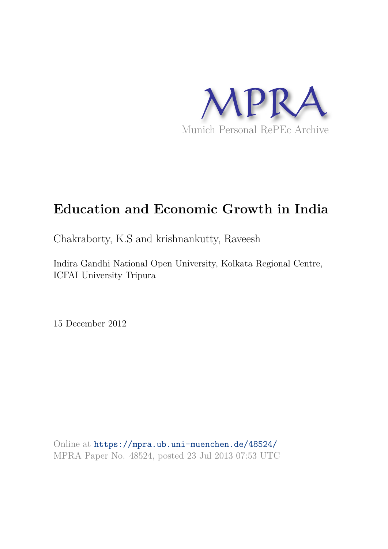

# **Education and Economic Growth in India**

Chakraborty, K.S and krishnankutty, Raveesh

Indira Gandhi National Open University, Kolkata Regional Centre, ICFAI University Tripura

15 December 2012

Online at https://mpra.ub.uni-muenchen.de/48524/ MPRA Paper No. 48524, posted 23 Jul 2013 07:53 UTC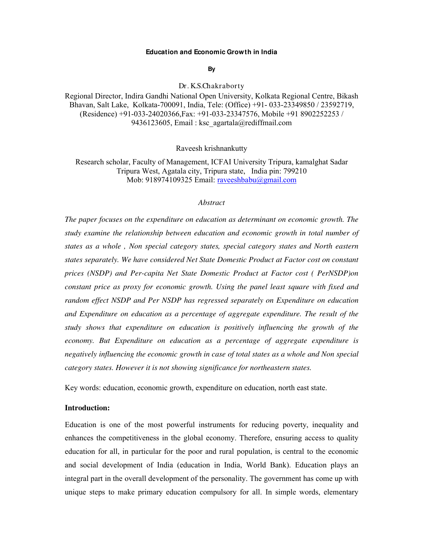#### **Education and Economic Growth in India**

**By** 

Dr. K.S.Chakraborty

Regional Director, Indira Gandhi National Open University, Kolkata Regional Centre, Bikash Bhavan, Salt Lake, Kolkata-700091, India, Tele: (Office) +91- 033-23349850 / 23592719, (Residence) +91-033-24020366,Fax: +91-033-23347576, Mobile +91 8902252253 / 9436123605, Email : ksc\_agartala@rediffmail.com

Raveesh krishnankutty

Research scholar, Faculty of Management, ICFAI University Tripura, kamalghat Sadar Tripura West, Agatala city, Tripura state, India pin: 799210 Mob: 918974109325 Email: raveeshbabu@gmail.com

## *Abstract*

*The paper focuses on the expenditure on education as determinant on economic growth. The study examine the relationship between education and economic growth in total number of states as a whole , Non special category states, special category states and North eastern states separately. We have considered Net State Domestic Product at Factor cost on constant prices (NSDP) and Per-capita Net State Domestic Product at Factor cost ( PerNSDP)on constant price as proxy for economic growth. Using the panel least square with fixed and random effect NSDP and Per NSDP has regressed separately on Expenditure on education and Expenditure on education as a percentage of aggregate expenditure. The result of the study shows that expenditure on education is positively influencing the growth of the economy. But Expenditure on education as a percentage of aggregate expenditure is negatively influencing the economic growth in case of total states as a whole and Non special category states. However it is not showing significance for northeastern states.*

Key words: education, economic growth, expenditure on education, north east state.

#### **Introduction:**

Education is one of the most powerful instruments for reducing poverty, inequality and enhances the competitiveness in the global economy. Therefore, ensuring access to quality education for all, in particular for the poor and rural population, is central to the economic and social development of India (education in India, World Bank). Education plays an integral part in the overall development of the personality. The government has come up with unique steps to make primary education compulsory for all. In simple words, elementary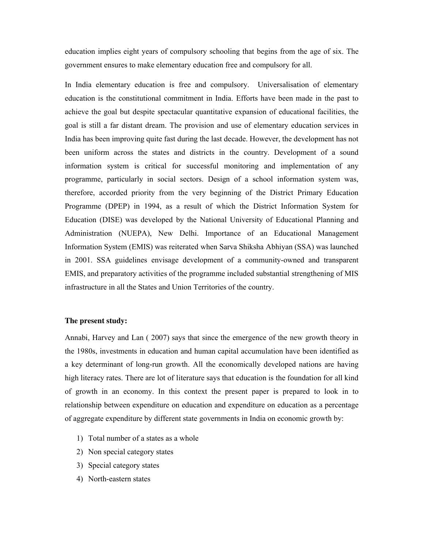education implies eight years of compulsory schooling that begins from the age of six. The government ensures to make elementary education free and compulsory for all.

In India elementary education is free and compulsory. Universalisation of elementary education is the constitutional commitment in India. Efforts have been made in the past to achieve the goal but despite spectacular quantitative expansion of educational facilities, the goal is still a far distant dream. The provision and use of elementary education services in India has been improving quite fast during the last decade. However, the development has not been uniform across the states and districts in the country. Development of a sound information system is critical for successful monitoring and implementation of any programme, particularly in social sectors. Design of a school information system was, therefore, accorded priority from the very beginning of the District Primary Education Programme (DPEP) in 1994, as a result of which the District Information System for Education (DISE) was developed by the National University of Educational Planning and Administration (NUEPA), New Delhi. Importance of an Educational Management Information System (EMIS) was reiterated when Sarva Shiksha Abhiyan (SSA) was launched in 2001. SSA guidelines envisage development of a community-owned and transparent EMIS, and preparatory activities of the programme included substantial strengthening of MIS infrastructure in all the States and Union Territories of the country.

### **The present study:**

Annabi, Harvey and Lan ( 2007) says that since the emergence of the new growth theory in the 1980s, investments in education and human capital accumulation have been identified as a key determinant of long-run growth. All the economically developed nations are having high literacy rates. There are lot of literature says that education is the foundation for all kind of growth in an economy. In this context the present paper is prepared to look in to relationship between expenditure on education and expenditure on education as a percentage of aggregate expenditure by different state governments in India on economic growth by:

- 1) Total number of a states as a whole
- 2) Non special category states
- 3) Special category states
- 4) North-eastern states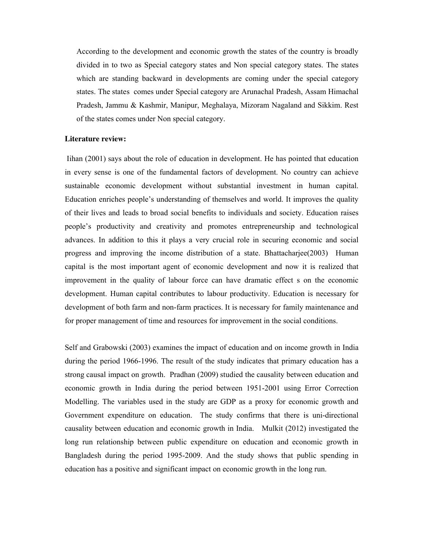According to the development and economic growth the states of the country is broadly divided in to two as Special category states and Non special category states. The states which are standing backward in developments are coming under the special category states. The states comes under Special category are Arunachal Pradesh, Assam Himachal Pradesh, Jammu & Kashmir, Manipur, Meghalaya, Mizoram Nagaland and Sikkim. Rest of the states comes under Non special category.

## **Literature review:**

Iihan (2001) says about the role of education in development. He has pointed that education in every sense is one of the fundamental factors of development. No country can achieve sustainable economic development without substantial investment in human capital. Education enriches people's understanding of themselves and world. It improves the quality of their lives and leads to broad social benefits to individuals and society. Education raises people's productivity and creativity and promotes entrepreneurship and technological advances. In addition to this it plays a very crucial role in securing economic and social progress and improving the income distribution of a state. Bhattacharjee(2003) Human capital is the most important agent of economic development and now it is realized that improvement in the quality of labour force can have dramatic effect s on the economic development. Human capital contributes to labour productivity. Education is necessary for development of both farm and non-farm practices. It is necessary for family maintenance and for proper management of time and resources for improvement in the social conditions.

Self and Grabowski (2003) examines the impact of education and on income growth in India during the period 1966-1996. The result of the study indicates that primary education has a strong causal impact on growth. Pradhan (2009) studied the causality between education and economic growth in India during the period between 1951-2001 using Error Correction Modelling. The variables used in the study are GDP as a proxy for economic growth and Government expenditure on education. The study confirms that there is uni-directional causality between education and economic growth in India. Mulkit (2012) investigated the long run relationship between public expenditure on education and economic growth in Bangladesh during the period 1995-2009. And the study shows that public spending in education has a positive and significant impact on economic growth in the long run.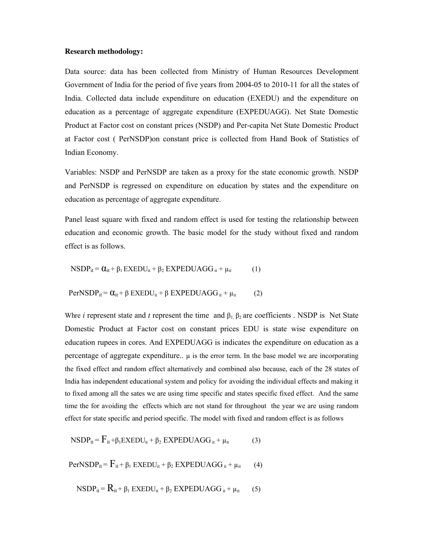#### **Research methodology:**

Data source: data has been collected from Ministry of Human Resources Development Government of India for the period of five years from 2004-05 to 2010-11 for all the states of India. Collected data include expenditure on education (EXEDU) and the expenditure on education as a percentage of aggregate expenditure (EXPEDUAGG). Net State Domestic Product at Factor cost on constant prices (NSDP) and Per-capita Net State Domestic Product at Factor cost ( PerNSDP)on constant price is collected from Hand Book of Statistics of Indian Economy.

Variables: NSDP and PerNSDP are taken as a proxy for the state economic growth. NSDP and PerNSDP is regressed on expenditure on education by states and the expenditure on education as percentage of aggregate expenditure.

Panel least square with fixed and random effect is used for testing the relationship between education and economic growth. The basic model for the study without fixed and random effect is as follows.

$$
NSDP_{it} = \alpha_{it} + \beta_1 EXEDU_{it} + \beta_2 EXPEDUAGG_{it} + \mu_{it}
$$
 (1)

$$
PerNSDP_{it} = \alpha_{it} + \beta EXEDU_{it} + \beta EXPEDUAGG_{it} + \mu_{it}
$$
 (2)

Whre *i* represent state and *t* represent the time and  $\beta_1$ ,  $\beta_2$  are coefficients . NSDP is Net State Domestic Product at Factor cost on constant prices EDU is state wise expenditure on education rupees in cores. And EXPEDUAGG is indicates the expenditure on education as a percentage of aggregate expenditure..  $\mu$  is the error term. In the base model we are incorporating the fixed effect and random effect alternatively and combined also because, each of the 28 states of India has independent educational system and policy for avoiding the individual effects and making it to fixed among all the sates we are using time specific and states specific fixed effect. And the same time the for avoiding the effects which are not stand for throughout the year we are using random effect for state specific and period specific. The model with fixed and random effect is as follows

$$
NSDP_{it} = F_{it} + \beta_1 EXEDU_{it} + \beta_2 EXPEDUAGG_{it} + \mu_{it}
$$
 (3)

 $PerNSDP_{it} = F_{it} + \beta_1 EXEDU_{it} + \beta_2 EXPEDUAGG_{it} + \mu_{it}$  (4)

$$
NSDP_{it} = R_{it} + \beta_1 EXEDU_{it} + \beta_2 EXPEDUAGG_{it} + \mu_{it}
$$
 (5)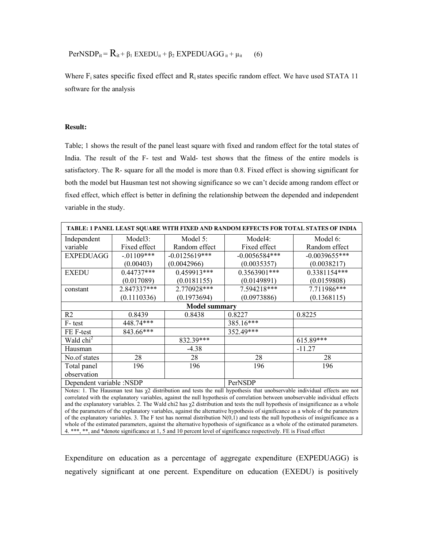$PerNSDP_{it} = R_{it} + \beta_1 EXEDU_{it} + \beta_2 EXPEDUAGG_{it} + \mu_{it}$  (6)

Where  $F_i$  sates specific fixed effect and  $R_i$  states specific random effect. We have used STATA 11 software for the analysis

#### **Result:**

Table; 1 shows the result of the panel least square with fixed and random effect for the total states of India. The result of the F- test and Wald- test shows that the fitness of the entire models is satisfactory. The R- square for all the model is more than 0.8. Fixed effect is showing significant for both the model but Hausman test not showing significance so we can't decide among random effect or fixed effect, which effect is better in defining the relationship between the depended and independent variable in the study.

| TABLE: 1 PANEL LEAST SQUARE WITH FIXED AND RANDOM EFFECTS FOR TOTAL STATES OF INDIA |              |                 |                 |                 |
|-------------------------------------------------------------------------------------|--------------|-----------------|-----------------|-----------------|
| Independent                                                                         | Model3:      | Model $5$ :     | Model4:         | Model 6:        |
| variable                                                                            | Fixed effect | Random effect   | Fixed effect    | Random effect   |
| <b>EXPEDUAGG</b>                                                                    | $-.01109***$ | $-0.0125619***$ | $-0.0056584***$ | $-0.0039655***$ |
|                                                                                     | (0.00403)    | (0.0042966)     | (0.0035357)     | (0.0038217)     |
| <b>EXEDU</b>                                                                        | $0.44737***$ | 0.459913***     | 0.3563901***    | 0.3381154***    |
|                                                                                     | (0.017089)   | (0.0181155)     | (0.0149891)     | (0.0159808)     |
| constant                                                                            | 2.847337***  | 2.770928***     | 7.594218***     | 7.711986***     |
|                                                                                     | (0.1110336)  | (0.1973694)     | (0.0973886)     | (0.1368115)     |
| <b>Model summary</b>                                                                |              |                 |                 |                 |
| R <sub>2</sub>                                                                      | 0.8439       | 0.8438          | 0.8227          | 0.8225          |
| F-test                                                                              | 448.74***    |                 | 385.16***       |                 |
| FE F-test                                                                           | 843.66***    |                 | 352.49***       |                 |
| $\overline{\text{Wald}}$ chi <sup>2</sup>                                           |              | 832.39***       |                 | $615.89***$     |
| Hausman                                                                             |              | $-4.38$         |                 | $-11.27$        |
| No.of states                                                                        | 28           | 28              | 28              | 28              |
| Total panel                                                                         | 196          | 196             | 196             | 196             |
| observation                                                                         |              |                 |                 |                 |
| Dependent variable :NSDP                                                            |              |                 | PerNSDP         |                 |

Notes: 1. The Hausman test has  $\chi$ 2 distribution and tests the null hypothesis that unobservable individual effects are not correlated with the explanatory variables, against the null hypothesis of correlation between unobservable individual effects and the explanatory variables. 2. The Wald chi2 has  $\chi$ 2 distribution and tests the null hypothesis of insignificance as a whole of the parameters of the explanatory variables, against the alternative hypothesis of significance as a whole of the parameters of the explanatory variables. 3. The F test has normal distribution  $N(0,1)$  and tests the null hypothesis of insignificance as a whole of the estimated parameters, against the alternative hypothesis of significance as a whole of the estimated parameters. 4. \*\*\*, \*\*, and \*denote significance at 1, 5 and 10 percent level of significance respectively. FE is Fixed effect

Expenditure on education as a percentage of aggregate expenditure (EXPEDUAGG) is negatively significant at one percent. Expenditure on education (EXEDU) is positively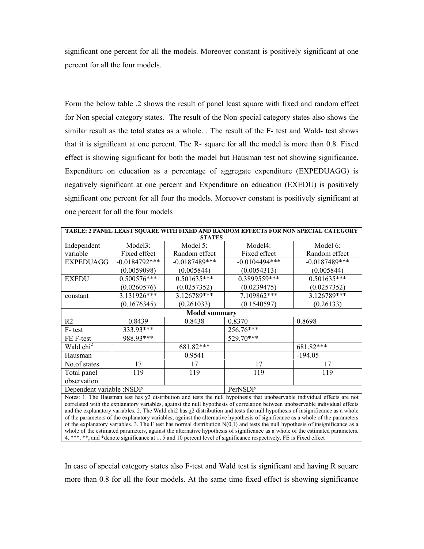significant one percent for all the models. Moreover constant is positively significant at one percent for all the four models.

Form the below table .2 shows the result of panel least square with fixed and random effect for Non special category states. The result of the Non special category states also shows the similar result as the total states as a whole. . The result of the F- test and Wald- test shows that it is significant at one percent. The R- square for all the model is more than 0.8. Fixed effect is showing significant for both the model but Hausman test not showing significance. Expenditure on education as a percentage of aggregate expenditure (EXPEDUAGG) is negatively significant at one percent and Expenditure on education (EXEDU) is positively significant one percent for all four the models. Moreover constant is positively significant at one percent for all the four models

| TABLE: 2 PANEL LEAST SQUARE WITH FIXED AND RANDOM EFFECTS FOR NON SPECIAL CATEGORY |                  |                 |                 |                 |
|------------------------------------------------------------------------------------|------------------|-----------------|-----------------|-----------------|
| <b>STATES</b>                                                                      |                  |                 |                 |                 |
| Independent                                                                        | Model3:          | Model 5:        | Model4:         | Model 6:        |
| variable                                                                           | Fixed effect     | Random effect   | Fixed effect    | Random effect   |
| <b>EXPEDUAGG</b>                                                                   | $-0.0184792$ *** | $-0.0187489***$ | $-0.0104494***$ | $-0.0187489***$ |
|                                                                                    | (0.0059098)      | (0.005844)      | (0.0054313)     | (0.005844)      |
| <b>EXEDU</b>                                                                       | 0.500576***      | $0.501635***$   | 0.3899559***    | $0.501635***$   |
|                                                                                    | (0.0260576)      | (0.0257352)     | (0.0239475)     | (0.0257352)     |
| constant                                                                           | 3.131926***      | 3.126789***     | 7.109862***     | 3.126789***     |
|                                                                                    | (0.1676345)      | (0.261033)      | (0.1540597)     | (0.26133)       |
| <b>Model summary</b>                                                               |                  |                 |                 |                 |
| R <sub>2</sub>                                                                     | 0.8439           | 0.8438          | 0.8370          | 0.8698          |
| F-test                                                                             | 333.93***        |                 | 256.76***       |                 |
| FE F-test                                                                          | 988.93***        |                 | 529.70***       |                 |
| Wald chi <sup>2</sup>                                                              |                  | 681.82***       |                 | 681.82***       |
| Hausman                                                                            |                  | 0.9541          |                 | $-194.05$       |
| No.of states                                                                       | 17               | 17              | 17              | 17              |
| Total panel                                                                        | 119              | 119             | 119             | 119             |
| observation                                                                        |                  |                 |                 |                 |
| Dependent variable :NSDP                                                           |                  |                 | PerNSDP         |                 |

Notes: 1. The Hausman test has  $\chi$ 2 distribution and tests the null hypothesis that unobservable individual effects are not correlated with the explanatory variables, against the null hypothesis of correlation between unobservable individual effects and the explanatory variables. 2. The Wald chi2 has  $\chi$ 2 distribution and tests the null hypothesis of insignificance as a whole of the parameters of the explanatory variables, against the alternative hypothesis of significance as a whole of the parameters of the explanatory variables. 3. The F test has normal distribution  $N(0,1)$  and tests the null hypothesis of insignificance as a whole of the estimated parameters, against the alternative hypothesis of significance as a whole of the estimated parameters. 4. \*\*\*, \*\*, and \*denote significance at 1, 5 and 10 percent level of significance respectively. FE is Fixed effect

In case of special category states also F-test and Wald test is significant and having R square more than 0.8 for all the four models. At the same time fixed effect is showing significance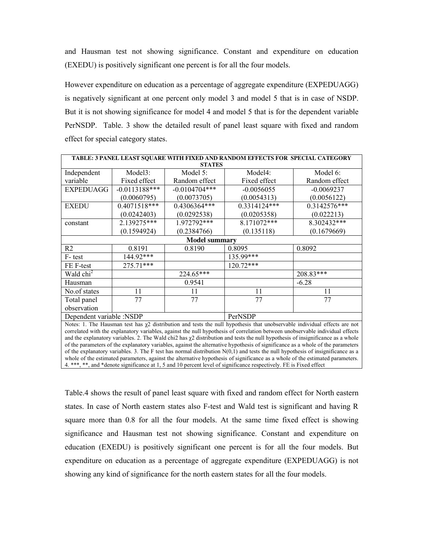and Hausman test not showing significance. Constant and expenditure on education (EXEDU) is positively significant one percent is for all the four models.

However expenditure on education as a percentage of aggregate expenditure (EXPEDUAGG) is negatively significant at one percent only model 3 and model 5 that is in case of NSDP. But it is not showing significance for model 4 and model 5 that is for the dependent variable PerNSDP. Table. 3 show the detailed result of panel least square with fixed and random effect for special category states.

| TABLE: 3 PANEL LEAST SQUARE WITH FIXED AND RANDOM EFFECTS FOR SPECIAL CATEGORY |                 |                 |              |               |  |
|--------------------------------------------------------------------------------|-----------------|-----------------|--------------|---------------|--|
| <b>STATES</b>                                                                  |                 |                 |              |               |  |
| Independent                                                                    | Model3:         | Model 5:        | Model4:      | Model 6:      |  |
| variable                                                                       | Fixed effect    | Random effect   | Fixed effect | Random effect |  |
| <b>EXPEDUAGG</b>                                                               | $-0.0113188***$ | $-0.0104704***$ | $-0.0056055$ | $-0.0069237$  |  |
|                                                                                | (0.0060795)     | (0.0073705)     | (0.0054313)  | (0.0056122)   |  |
| <b>EXEDU</b>                                                                   | $0.4071518***$  | 0.4306364***    | 0.3314124*** | 0.3142576***  |  |
|                                                                                | (0.0242403)     | (0.0292538)     | (0.0205358)  | (0.022213)    |  |
| constant                                                                       | 2.139275***     | $1.972792***$   | 8.171072***  | 8.302432***   |  |
|                                                                                | (0.1594924)     | (0.2384766)     | (0.135118)   | (0.1679669)   |  |
| <b>Model summary</b>                                                           |                 |                 |              |               |  |
| R <sub>2</sub>                                                                 | 0.8191          | 0.8190          | 0.8095       | 0.8092        |  |
| F-test                                                                         | 144.92***       |                 | 135.99***    |               |  |
| FE F-test                                                                      | 275.71***       |                 | 120.72***    |               |  |
| Wald chi <sup>2</sup>                                                          |                 | 224.65***       |              | 208.83***     |  |
| Hausman                                                                        |                 | 0.9541          |              | $-6.28$       |  |
| No.of states                                                                   | 11              | 11              | 11           | 11            |  |
| Total panel                                                                    | 77              | 77              | 77           | 77            |  |
| observation                                                                    |                 |                 |              |               |  |
| Dependent variable :NSDP                                                       |                 | PerNSDP         |              |               |  |
|                                                                                |                 |                 |              |               |  |

Notes: 1. The Hausman test has  $\chi^2$  distribution and tests the null hypothesis that unobservable individual effects are not correlated with the explanatory variables, against the null hypothesis of correlation between unobservable individual effects and the explanatory variables. 2. The Wald chi2 has  $\chi$ 2 distribution and tests the null hypothesis of insignificance as a whole of the parameters of the explanatory variables, against the alternative hypothesis of significance as a whole of the parameters of the explanatory variables. 3. The F test has normal distribution  $N(0,1)$  and tests the null hypothesis of insignificance as a whole of the estimated parameters, against the alternative hypothesis of significance as a whole of the estimated parameters. 4. \*\*\*, \*\*, and \*denote significance at 1, 5 and 10 percent level of significance respectively. FE is Fixed effect

Table.4 shows the result of panel least square with fixed and random effect for North eastern states. In case of North eastern states also F-test and Wald test is significant and having R square more than 0.8 for all the four models. At the same time fixed effect is showing significance and Hausman test not showing significance. Constant and expenditure on education (EXEDU) is positively significant one percent is for all the four models. But expenditure on education as a percentage of aggregate expenditure (EXPEDUAGG) is not showing any kind of significance for the north eastern states for all the four models.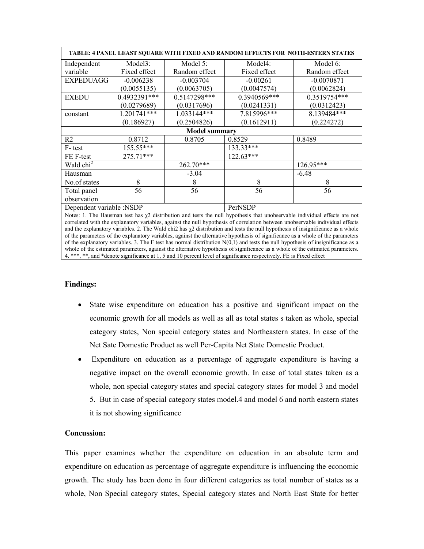| TABLE: 4 PANEL LEAST SQUARE WITH FIXED AND RANDOM EFFECTS FOR NOTH-ESTERN STATES |               |               |              |               |
|----------------------------------------------------------------------------------|---------------|---------------|--------------|---------------|
| Independent                                                                      | Model3:       | Model 5:      | Model4:      | Model 6:      |
| variable                                                                         | Fixed effect  | Random effect | Fixed effect | Random effect |
| <b>EXPEDUAGG</b>                                                                 | $-0.006238$   | $-0.003704$   | $-0.00261$   | $-0.0070871$  |
|                                                                                  | (0.0055135)   | (0.0063705)   | (0.0047574)  | (0.0062824)   |
| <b>EXEDU</b>                                                                     | 0.4932391***  | 0.5147298***  | 0.3940569*** | 0.3519754***  |
|                                                                                  | (0.0279689)   | (0.0317696)   | (0.0241331)  | (0.0312423)   |
| constant                                                                         | $1.201741***$ | $1.033144***$ | 7.815996***  | 8.139484***   |
|                                                                                  | (0.186927)    | (0.2504826)   | (0.1612911)  | (0.224272)    |
| <b>Model summary</b>                                                             |               |               |              |               |
| R <sub>2</sub>                                                                   | 0.8712        | 0.8705        | 0.8529       | 0.8489        |
| F-test                                                                           | 155.55***     |               | 133.33***    |               |
| FE F-test                                                                        | $275.71***$   |               | $122.63***$  |               |
| Wald chi <sup>2</sup>                                                            |               | $262.70***$   |              | 126.95***     |
| Hausman                                                                          |               | $-3.04$       |              | $-6.48$       |
| No.of states                                                                     | 8             | 8             | 8            | 8             |
| Total panel                                                                      | 56            | 56            | 56           | 56            |
| observation                                                                      |               |               |              |               |
| Dependent variable :NSDP                                                         |               | PerNSDP       |              |               |

Notes: 1. The Hausman test has  $\chi^2$  distribution and tests the null hypothesis that unobservable individual effects are not correlated with the explanatory variables, against the null hypothesis of correlation between unobservable individual effects and the explanatory variables. 2. The Wald chi2 has  $\chi$ 2 distribution and tests the null hypothesis of insignificance as a whole of the parameters of the explanatory variables, against the alternative hypothesis of significance as a whole of the parameters of the explanatory variables. 3. The F test has normal distribution  $N(0,1)$  and tests the null hypothesis of insignificance as a whole of the estimated parameters, against the alternative hypothesis of significance as a whole of the estimated parameters. 4. \*\*\*, \*\*, and \*denote significance at 1, 5 and 10 percent level of significance respectively. FE is Fixed effect

## **Findings:**

- State wise expenditure on education has a positive and significant impact on the economic growth for all models as well as all as total states s taken as whole, special category states, Non special category states and Northeastern states. In case of the Net Sate Domestic Product as well Per-Capita Net State Domestic Product.
- Expenditure on education as a percentage of aggregate expenditure is having a negative impact on the overall economic growth. In case of total states taken as a whole, non special category states and special category states for model 3 and model 5. But in case of special category states model.4 and model 6 and north eastern states it is not showing significance

## **Concussion:**

This paper examines whether the expenditure on education in an absolute term and expenditure on education as percentage of aggregate expenditure is influencing the economic growth. The study has been done in four different categories as total number of states as a whole, Non Special category states, Special category states and North East State for better